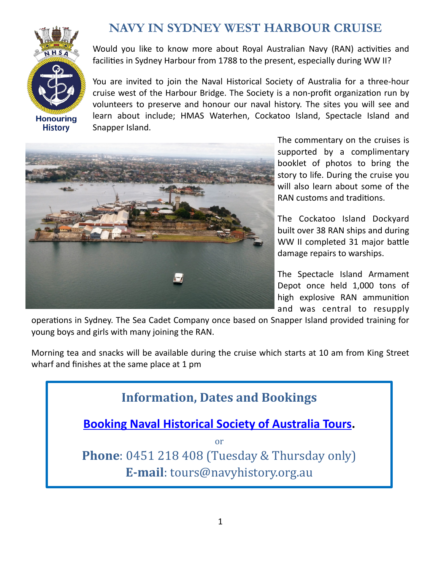

## **NAVY IN SYDNEY WEST HARBOUR CRUISE**

Would you like to know more about Royal Australian Navy (RAN) activities and facilities in Sydney Harbour from 1788 to the present, especially during WW II?

You are invited to join the Naval Historical Society of Australia for a three-hour cruise west of the Harbour Bridge. The Society is a non-profit organization run by volunteers to preserve and honour our naval history. The sites you will see and learn about include; HMAS Waterhen, Cockatoo Island, Spectacle Island and Snapper Island.



The commentary on the cruises is supported by a complimentary booklet of photos to bring the story to life. During the cruise you will also learn about some of the RAN customs and traditions.

The Cockatoo Island Dockyard built over 38 RAN ships and during WW II completed 31 major battle damage repairs to warships.

The Spectacle Island Armament Depot once held 1,000 tons of high explosive RAN ammunition and was central to resupply

operations in Sydney. The Sea Cadet Company once based on Snapper Island provided training for young boys and girls with many joining the RAN.

Morning tea and snacks will be available during the cruise which starts at 10 am from King Street wharf and finishes at the same place at 1 pm

**Information, Dates and Bookings [Booking Naval Historical Society of Australia Tours.](https://www.navyhistory.org.au/product-category/tours-and-cruises/navy-in-sydney-cruise-west-of-the-bridge/)** or **Phone**: 0451 218 408 (Tuesday & Thursday only) **E-mail**: [tours@navyhistory.org.au](mailto:tours@navyhistory.org.au)